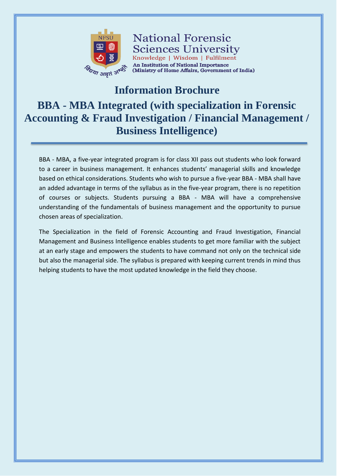

**National Forensic Sciences University** Knowledge | Wisdom | Fulfilment An Institution of National Importance (Ministry of Home Affairs, Government of India)

## **Information Brochure**

# **BBA - MBA Integrated (with specialization in Forensic Accounting & Fraud Investigation / Financial Management / Business Intelligence)**

BBA - MBA, a five-year integrated program is for class XII pass out students who look forward to a career in business management. It enhances students' managerial skills and knowledge based on ethical considerations. Students who wish to pursue a five-year BBA - MBA shall have an added advantage in terms of the syllabus as in the five-year program, there is no repetition of courses or subjects. Students pursuing a BBA - MBA will have a comprehensive understanding of the fundamentals of business management and the opportunity to pursue chosen areas of specialization.

The Specialization in the field of Forensic Accounting and Fraud Investigation, Financial Management and Business Intelligence enables students to get more familiar with the subject at an early stage and empowers the students to have command not only on the technical side but also the managerial side. The syllabus is prepared with keeping current trends in mind thus helping students to have the most updated knowledge in the field they choose.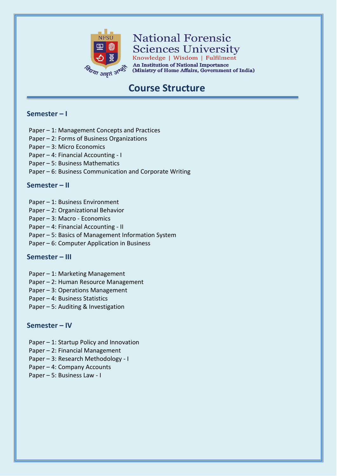

# **National Forensic Sciences University**

Knowledge | Wisdom | Fulfilment **An Institution of National Importance** (Ministry of Home Affairs, Government of India)

# **Course Structure**

#### **Semester – I**

- Paper 1: Management Concepts and Practices
- Paper 2: Forms of Business Organizations
- Paper 3: Micro Economics
- Paper 4: Financial Accounting I
- Paper 5: Business Mathematics
- Paper 6: Business Communication and Corporate Writing

#### **Semester – II**

- Paper 1: Business Environment
- Paper 2: Organizational Behavior
- Paper 3: Macro Economics
- Paper 4: Financial Accounting II
- Paper 5: Basics of Management Information System
- Paper 6: Computer Application in Business

#### **Semester – III**

- Paper 1: Marketing Management
- Paper 2: Human Resource Management
- Paper 3: Operations Management
- Paper 4: Business Statistics
- Paper 5: Auditing & Investigation

#### **Semester – IV**

- Paper 1: Startup Policy and Innovation
- Paper 2: Financial Management
- Paper 3: Research Methodology I
- Paper 4: Company Accounts
- Paper 5: Business Law I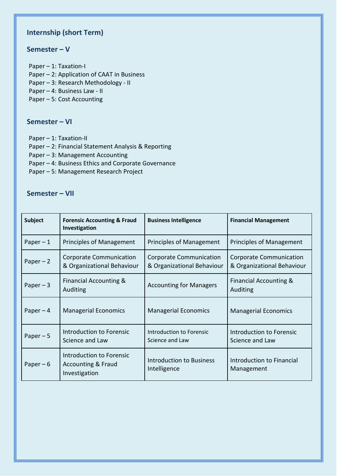### **Internship (short Term)**

#### **Semester – V**

Paper – 1: Taxation-I Paper – 2: Application of CAAT in Business Paper – 3: Research Methodology - II Paper – 4: Business Law - II Paper – 5: Cost Accounting

#### **Semester – VI**

Paper – 1: Taxation-II

Paper – 2: Financial Statement Analysis & Reporting

Paper – 3: Management Accounting

Paper – 4: Business Ethics and Corporate Governance

Paper – 5: Management Research Project

#### **Semester – VII**

| <b>Subject</b> | <b>Forensic Accounting &amp; Fraud</b><br>Investigation                    | <b>Business Intelligence</b>                          | <b>Financial Management</b>                           |
|----------------|----------------------------------------------------------------------------|-------------------------------------------------------|-------------------------------------------------------|
| Paper $-1$     | Principles of Management                                                   | Principles of Management                              | <b>Principles of Management</b>                       |
| Paper $-2$     | Corporate Communication<br>& Organizational Behaviour                      | Corporate Communication<br>& Organizational Behaviour | Corporate Communication<br>& Organizational Behaviour |
| Paper $-3$     | <b>Financial Accounting &amp;</b><br>Auditing                              | <b>Accounting for Managers</b>                        | Financial Accounting &<br>Auditing                    |
| Paper $-4$     | <b>Managerial Economics</b>                                                | <b>Managerial Economics</b>                           | <b>Managerial Economics</b>                           |
| Paper $-5$     | Introduction to Forensic<br>Science and Law                                | Introduction to Forensic<br>Science and Law           | Introduction to Forensic<br>Science and Law           |
| Paper $-6$     | Introduction to Forensic<br><b>Accounting &amp; Fraud</b><br>Investigation | <b>Introduction to Business</b><br>Intelligence       | Introduction to Financial<br>Management               |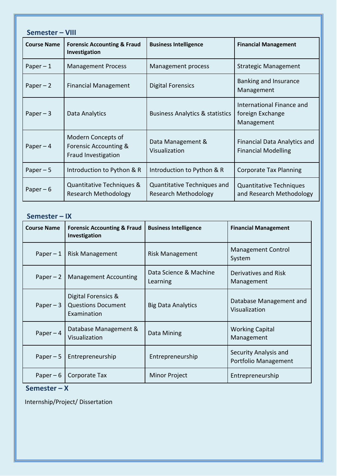| Semester - VIII    |                                                                    |                                                            |                                                                   |  |  |
|--------------------|--------------------------------------------------------------------|------------------------------------------------------------|-------------------------------------------------------------------|--|--|
| <b>Course Name</b> | <b>Forensic Accounting &amp; Fraud</b><br>Investigation            | <b>Business Intelligence</b>                               | <b>Financial Management</b>                                       |  |  |
| Paper $-1$         | <b>Management Process</b>                                          | Management process                                         | <b>Strategic Management</b>                                       |  |  |
| Paper $-2$         | <b>Financial Management</b>                                        | <b>Digital Forensics</b>                                   | Banking and Insurance<br>Management                               |  |  |
| Paper $-3$         | Data Analytics                                                     | <b>Business Analytics &amp; statistics</b>                 | International Finance and<br>foreign Exchange<br>Management       |  |  |
| Paper $-4$         | Modern Concepts of<br>Forensic Accounting &<br>Fraud Investigation | Data Management &<br>Visualization                         | <b>Financial Data Analytics and</b><br><b>Financial Modelling</b> |  |  |
| Paper $-5$         | Introduction to Python & R                                         | Introduction to Python & R                                 | <b>Corporate Tax Planning</b>                                     |  |  |
| Paper $-6$         | Quantitative Techniques &<br><b>Research Methodology</b>           | Quantitative Techniques and<br><b>Research Methodology</b> | <b>Quantitative Techniques</b><br>and Research Methodology        |  |  |

#### **Semester – IX**

| <b>Course Name</b> | <b>Forensic Accounting &amp; Fraud</b><br>Investigation         | <b>Business Intelligence</b>       | <b>Financial Management</b>                   |
|--------------------|-----------------------------------------------------------------|------------------------------------|-----------------------------------------------|
| Paper $-1$         | <b>Risk Management</b>                                          | <b>Risk Management</b>             | <b>Management Control</b><br>System           |
| Paper $-2$         | <b>Management Accounting</b>                                    | Data Science & Machine<br>Learning | Derivatives and Risk<br>Management            |
| Paper $-3$         | Digital Forensics &<br><b>Questions Document</b><br>Examination | <b>Big Data Analytics</b>          | Database Management and<br>Visualization      |
| Paper $-4$         | Database Management &<br>Visualization                          | Data Mining                        | <b>Working Capital</b><br>Management          |
| Paper $-5$         | Entrepreneurship                                                | Entrepreneurship                   | Security Analysis and<br>Portfolio Management |
| Paper $-6$         | Corporate Tax                                                   | Minor Project                      | Entrepreneurship                              |

#### **Semester – X**

Internship/Project/ Dissertation